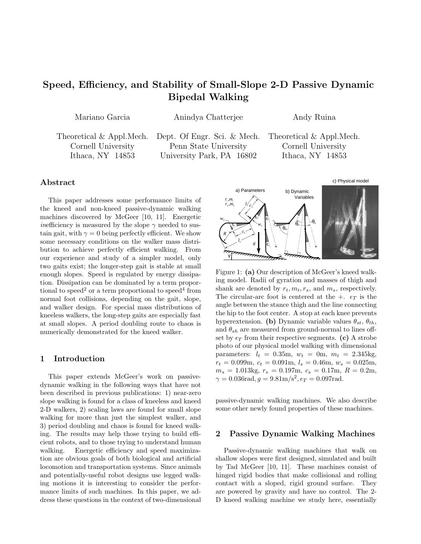# **Speed, Efficiency, and Stability of Small-Slope 2-D Passive Dynamic Bipedal Walking**

Mariano Garcia Anindya Chatterjee Andy Ruina

Theoretical & Appl.Mech. Dept. Of Engr. Sci. & Mech. Theoretical & Appl.Mech.

Cornell University Penn State University Cornell University Ithaca, NY 14853 University Park, PA 16802 Ithaca, NY 14853

## **Abstract**

This paper addresses some performance limits of the kneed and non-kneed passive-dynamic walking machines discovered by McGeer [10, 11]. Energetic *inefficiency* is measured by the slope  $\gamma$  needed to sustain gait, with  $\gamma = 0$  being perfectly efficient. We show some necessary conditions on the walker mass distribution to achieve perfectly efficient walking. From our experience and study of a simpler model, only two gaits exist; the longer-step gait is stable at small enough slopes. Speed is regulated by energy dissipation. Dissipation can be dominated by a term proportional to speed<sup>2</sup> or a term proportional to speed<sup>4</sup> from normal foot collisions, depending on the gait, slope, and walker design. For special mass distributions of kneeless walkers, the long-step gaits are especially fast at small slopes. A period doubling route to chaos is numerically demonstrated for the kneed walker.

#### **1 Introduction**

This paper extends McGeer's work on passivedynamic walking in the following ways that have not been described in previous publications: 1) near-zero slope walking is found for a class of kneeless and kneed 2-D walkers, 2) scaling laws are found for small slope walking for more than just the simplest walker, and 3) period doubling and chaos is found for kneed walking. The results may help those trying to build efficient robots, and to those trying to understand human walking. Energetic efficiency and speed maximization are obvious goals of both biological and artificial locomotion and transportation systems. Since animals and potentially-useful robot designs use legged walking motions it is interesting to consider the performance limits of such machines. In this paper, we address these questions in the context of two-dimensional



Figure 1: **(a)** Our description of McGeer's kneed walking model. Radii of gyration and masses of thigh and shank are denoted by  $r_t, m_t, r_s$ , and  $m_s$ , respectively. The circular-arc foot is centered at the  $+$ .  $\epsilon_T$  is the angle between the stance thigh and the line connecting the hip to the foot center. A stop at each knee prevents hyperextension. **(b)** Dynamic variable values  $\theta_{st}$ ,  $\theta_{th}$ , and  $\theta_{sh}$  are measured from ground-normal to lines offset by  $\epsilon_T$  from their respective segments. (c) A strobe photo of our physical model walking with dimensional parameters:  $l_t = 0.35m, w_t = 0m, m_t = 2.345kg,$  $r_t = 0.099m, c_t = 0.091m, l_s = 0.46m, w_s = 0.025m,$  $m_s = 1.013 \text{kg}, r_s = 0.197 \text{m}, c_s = 0.17 \text{m}, R = 0.2 \text{m},$  $\gamma = 0.036$ rad,  $q = 9.81$ m/s<sup>2</sup>,  $\epsilon_T = 0.097$ rad.

passive-dynamic walking machines. We also describe some other newly found properties of these machines.

#### **2 Passive Dynamic Walking Machines**

Passive-dynamic walking machines that walk on shallow slopes were first designed, simulated and built by Tad McGeer [10, 11]. These machines consist of hinged rigid bodies that make collisional and rolling contact with a sloped, rigid ground surface. They are powered by gravity and have no control. The 2- D kneed walking machine we study here, essentially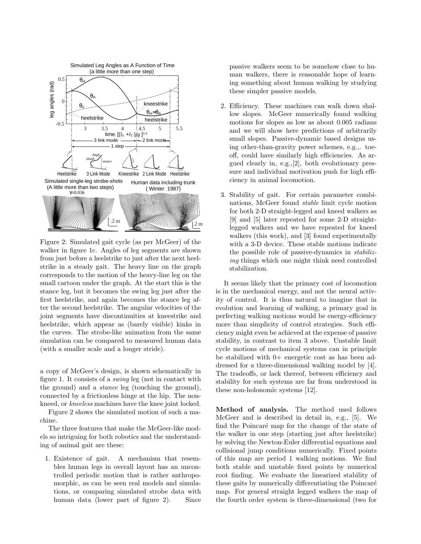

Figure 2: Simulated gait cycle (as per McGeer) of the walker in figure 1c. Angles of leg segments are shown from just before a heelstrike to just after the next heelstrike in a steady gait. The heavy line on the graph corresponds to the motion of the heavy-line leg on the small cartoon under the graph. At the start this is the stance leg, but it becomes the swing leg just after the first heelstrike, and again becomes the stance leg after the second heelstrike. The angular velocities of the joint segments have discontinuities at kneestrike and heelstrike, which appear as (barely visible) kinks in the curves. The strobe-like animation from the same simulation can be compared to measured human data (with a smaller scale and a longer stride).

a copy of McGeer's design, is shown schematically in figure 1. It consists of a swing leg (not in contact with the ground) and a stance leg (touching the ground), connected by a frictionless hinge at the hip. The nonkneed, or kneeless machines have the knee joint locked.

Figure 2 shows the simulated motion of such a machine.

The three features that make the McGeer-like models so intriguing for both robotics and the understanding of animal gait are these:

1. Existence of gait. A mechanism that resembles human legs in overall layout has an uncontrolled periodic motion that is rather anthropomorphic, as can be seen real models and simulations, or comparing simulated strobe data with human data (lower part of figure 2). Since passive walkers seem to be somehow close to human walkers, there is reasonable hope of learning something about human walking by studying these simpler passive models.

- 2. Efficiency. These machines can walk down shallow slopes. McGeer numerically found walking motions for slopes as low as about 0.005 radians and we will show here predictions of arbitrarily small slopes. Passive-dynamic based designs using other-than-gravity power schemes, e.g.,. toeoff, could have similarly high efficiencies. As argued clearly in, e.g.,[2], both evolutionary pressure and individual motivation push for high efficiency in animal locomotion.
- 3. Stability of gait. For certain parameter combinations, McGeer found stable limit cycle motion for both 2-D straight-legged and kneed walkers as [9] and [5] later repeated for some 2-D straightlegged walkers and we have repeated for kneed walkers (this work), and [3] found experimentally with a 3-D device. These stable motions indicate the possible role of passive-dynamics in stabilizing things which one might think need controlled stabilization.

It seems likely that the primary cost of locomotion is in the mechanical energy, and not the neural activity of control. It is thus natural to imagine that in evolution and learning of walking, a primary goal in perfecting walking motions would be energy-efficiency more than simplicity of control strategies. Such efficiency might even be achieved at the expense of passive stability, in contrast to item 3 above. Unstable limit cycle motions of mechanical systems can in principle be stabilized with 0+ energetic cost as has been addressed for a three-dimensional walking model by [4]. The tradeoffs, or lack thereof, between efficiency and stability for such systems are far from understood in these non-holonomic systems [12].

**Method of analysis.** The method used follows McGeer and is described in detail in, e.g., [5]. We find the Poincaré map for the change of the state of the walker in one step (starting just after heelstrike) by solving the Newton-Euler differential equations and collisional jump conditions numerically. Fixed points of this map are period 1 walking motions. We find both stable and unstable fixed points by numerical root finding. We evaluate the linearized stability of these gaits by numerically differentiating the Poincaré map. For general straight legged walkers the map of the fourth order system is three-dimensional (two for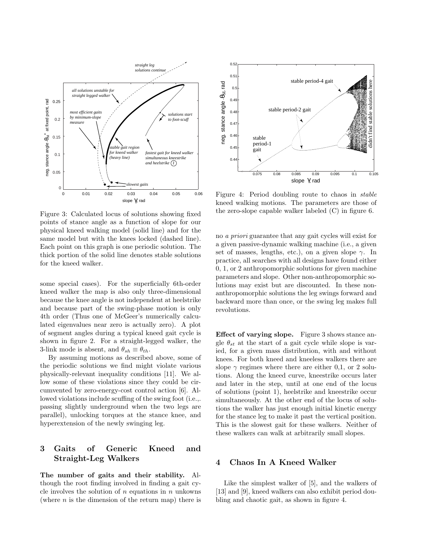

Figure 3: Calculated locus of solutions showing fixed points of stance angle as a function of slope for our physical kneed walking model (solid line) and for the same model but with the knees locked (dashed line). Each point on this graph is one periodic solution. The thick portion of the solid line denotes stable solutions for the kneed walker.

some special cases). For the superficially 6th-order kneed walker the map is also only three-dimensional because the knee angle is not independent at heelstrike and because part of the swing-phase motion is only 4th order (Thus one of McGeer's numerically calculated eigenvalues near zero is actually zero). A plot of segment angles during a typical kneed gait cycle is shown in figure 2. For a straight-legged walker, the 3-link mode is absent, and  $\theta_{sh} \equiv \theta_{th}$ .

By assuming motions as described above, some of the periodic solutions we find might violate various physically-relevant inequality conditions [11]. We allow some of these violations since they could be circumvented by zero-energy-cost control action [6]. Allowed violations include scuffing of the swing foot (i.e.,. passing slightly underground when the two legs are parallel), unlocking torques at the stance knee, and hyperextension of the newly swinging leg.

# **3 Gaits of Generic Kneed and Straight-Leg Walkers**

**The number of gaits and their stability.** Although the root finding involved in finding a gait cycle involves the solution of *n* equations in *n* unkowns (where *n* is the dimension of the return map) there is



Figure 4: Period doubling route to chaos in stable kneed walking motions. The parameters are those of the zero-slope capable walker labeled (C) in figure 6.

no a priori guarantee that any gait cycles will exist for a given passive-dynamic walking machine (i.e., a given set of masses, lengths, etc.), on a given slope *γ*. In practice, all searches with all designs have found either 0, 1, or 2 anthropomorphic solutions for given machine parameters and slope. Other non-anthropomorphic solutions may exist but are discounted. In these nonanthropomorphic solutions the leg swings forward and backward more than once, or the swing leg makes full revolutions.

**Effect of varying slope.** Figure 3 shows stance angle  $\theta_{st}$  at the start of a gait cycle while slope is varied, for a given mass distribution, with and without knees. For both kneed and kneeless walkers there are slope  $\gamma$  regimes where there are either 0,1, or 2 solutions. Along the kneed curve, kneestrike occurs later and later in the step, until at one end of the locus of solutions (point 1), heelstrike and kneestrike occur simultaneously. At the other end of the locus of solutions the walker has just enough initial kinetic energy for the stance leg to make it past the vertical position. This is the slowest gait for these walkers. Neither of these walkers can walk at arbitrarily small slopes.

#### **4 Chaos In A Kneed Walker**

Like the simplest walker of [5], and the walkers of [13] and [9], kneed walkers can also exhibit period doubling and chaotic gait, as shown in figure 4.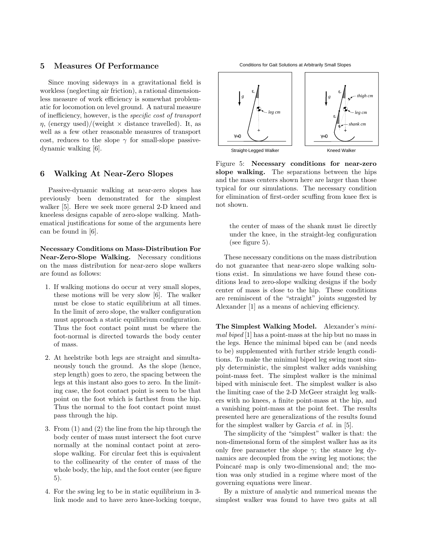## **5 Measures Of Performance**

Since moving sideways in a gravitational field is workless (neglecting air friction), a rational dimensionless measure of work efficiency is somewhat problematic for locomotion on level ground. A natural measure of inefficiency, however, is the specific cost of transport  $\eta$ , (energy used)/(weight  $\times$  distance travelled). It, as well as a few other reasonable measures of transport cost, reduces to the slope  $\gamma$  for small-slope passivedynamic walking [6].

#### **6 Walking At Near-Zero Slopes**

Passive-dynamic walking at near-zero slopes has previously been demonstrated for the simplest walker [5]. Here we seek more general 2-D kneed and kneeless designs capable of zero-slope walking. Mathematical justifications for some of the arguments here can be found in [6].

**Necessary Conditions on Mass-Distribution For Near-Zero-Slope Walking.** Necessary conditions on the mass distribution for near-zero slope walkers are found as follows:

- 1. If walking motions do occur at very small slopes, these motions will be very slow [6]. The walker must be close to static equilibrium at all times. In the limit of zero slope, the walker configuration must approach a static equilibrium configuration. Thus the foot contact point must be where the foot-normal is directed towards the body center of mass.
- 2. At heelstrike both legs are straight and simultaneously touch the ground. As the slope (hence, step length) goes to zero, the spacing between the legs at this instant also goes to zero. In the limiting case, the foot contact point is seen to be that point on the foot which is farthest from the hip. Thus the normal to the foot contact point must pass through the hip.
- 3. From (1) and (2) the line from the hip through the body center of mass must intersect the foot curve normally at the nominal contact point at zeroslope walking. For circular feet this is equivalent to the collinearity of the center of mass of the whole body, the hip, and the foot center (see figure 5).
- 4. For the swing leg to be in static equilibrium in 3 link mode and to have zero knee-locking torque,

Conditions for Gait Solutions at Arbitrarily Small Slopes



Figure 5: **Necessary conditions for near-zero slope walking.** The separations between the hips and the mass centers shown here are larger than those typical for our simulations. The necessary condition for elimination of first-order scuffing from knee flex is not shown.

the center of mass of the shank must lie directly under the knee, in the straight-leg configuration (see figure 5).

These necessary conditions on the mass distribution do not guarantee that near-zero slope walking solutions exist. In simulations we have found these conditions lead to zero-slope walking designs if the body center of mass is close to the hip. These conditions are reminiscent of the "straight" joints suggested by Alexander [1] as a means of achieving efficiency.

**The Simplest Walking Model.** Alexander's minimal biped [1] has a point-mass at the hip but no mass in the legs. Hence the minimal biped can be (and needs to be) supplemented with further stride length conditions. To make the minimal biped leg swing most simply deterministic, the simplest walker adds vanishing point-mass feet. The simplest walker is the minimal biped with miniscule feet. The simplest walker is also the limiting case of the 2-D McGeer straight leg walkers with no knees, a finite point-mass at the hip, and a vanishing point-mass at the point feet. The results presented here are generalizations of the results found for the simplest walker by Garcia et al. in [5].

The simplicity of the "simplest" walker is that: the non-dimensional form of the simplest walker has as its only free parameter the slope  $\gamma$ ; the stance leg dynamics are decoupled from the swing leg motions; the Poincaré map is only two-dimensional and; the motion was only studied in a regime where most of the governing equations were linear.

By a mixture of analytic and numerical means the simplest walker was found to have two gaits at all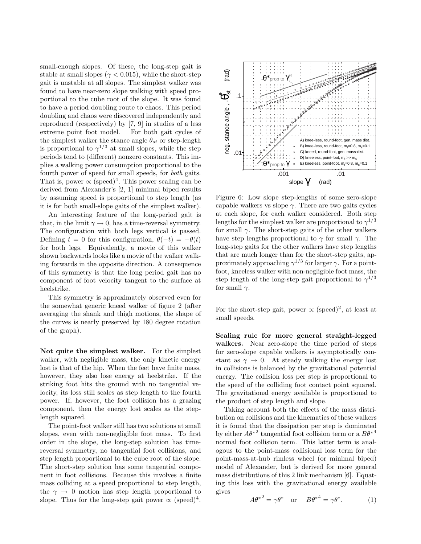small-enough slopes. Of these, the long-step gait is stable at small slopes ( $\gamma$  < 0.015), while the short-step gait is unstable at all slopes. The simplest walker was found to have near-zero slope walking with speed proportional to the cube root of the slope. It was found to have a period doubling route to chaos. This period doubling and chaos were discovered independently and reproduced (respectively) by [7, 9] in studies of a less extreme point foot model. For both gait cycles of the simplest walker the stance angle  $\theta_{st}$  or step-length is proportional to  $\gamma^{1/3}$  at small slopes, while the step periods tend to (different) nonzero constants. This implies a walking power consumption proportional to the fourth power of speed for small speeds, for both gaits. That is, power  $\propto$  (speed)<sup>4</sup>. This power scaling can be derived from Alexander's [2, 1] minimal biped results by assuming speed is proportional to step length (as it is for both small-slope gaits of the simplest walker).

An interesting feature of the long-period gait is that, in the limit  $\gamma \to 0$ , has a time-reversal symmetry. The configuration with both legs vertical is passed. Defining  $t = 0$  for this configuration,  $\theta(-t) = -\theta(t)$ for both legs. Equivalently, a movie of this walker shown backwards looks like a movie of the walker walking forwards in the opposite direction. A consequence of this symmetry is that the long period gait has no component of foot velocity tangent to the surface at heelstrike.

This symmetry is approximately observed even for the somewhat generic kneed walker of figure 2 (after averaging the shank and thigh motions, the shape of the curves is nearly preserved by 180 degree rotation of the graph).

**Not quite the simplest walker.** For the simplest walker, with negligible mass, the only kinetic energy lost is that of the hip. When the feet have finite mass, however, they also lose energy at heelstrike. If the striking foot hits the ground with no tangential velocity, its loss still scales as step length to the fourth power. If, however, the foot collision has a grazing component, then the energy lost scales as the steplength squared.

The point-foot walker still has two solutions at small slopes, even with non-negligible foot mass. To first order in the slope, the long-step solution has timereversal symmetry, no tangential foot collisions, and step length proportional to the cube root of the slope. The short-step solution has some tangential component in foot collisions. Because this involves a finite mass colliding at a speed proportional to step length, the  $\gamma \rightarrow 0$  motion has step length proportional to slope. Thus for the long-step gait power  $\propto$  (speed)<sup>4</sup>.



Figure 6: Low slope step-lengths of some zero-slope capable walkers vs slope *γ*. There are two gaits cycles at each slope, for each walker considered. Both step lengths for the simplest walker are proportional to  $\gamma^{1/3}$ for small *γ*. The short-step gaits of the other walkers have step lengths proportional to  $\gamma$  for small  $\gamma$ . The long-step gaits for the other walkers have step lengths that are much longer than for the short-step gaits, approximately approaching  $\gamma^{1/3}$  for larger  $\gamma$ . For a pointfoot, kneeless walker with non-negligible foot mass, the step length of the long-step gait proportional to  $\gamma^{1/3}$ for small *γ*.

For the short-step gait, power  $\propto$  (speed)<sup>2</sup>, at least at small speeds.

**Scaling rule for more general straight-legged walkers.** Near zero-slope the time period of steps for zero-slope capable walkers is asymptotically constant as  $\gamma \to 0$ . At steady walking the energy lost in collisions is balanced by the gravitational potential energy. The collision loss per step is proportional to the speed of the colliding foot contact point squared. The gravitational energy available is proportional to the product of step length and slope.

Taking account both the effects of the mass distribution on collisions and the kinematics of these walkers it is found that the dissipation per step is dominated by either  $A\theta^{*2}$  tangential foot collision term or a  $B\theta^{*4}$ normal foot collision term. This latter term is analogous to the point-mass collisional loss term for the point-mass-at-hub rimless wheel (or minimal biped) model of Alexander, but is derived for more general mass distributions of this 2 link mechanism [6]. Equating this loss with the gravitational energy available gives

$$
A\theta^{*2} = \gamma \theta^* \quad \text{or} \quad B\theta^{*4} = \gamma \theta^*.
$$
 (1)